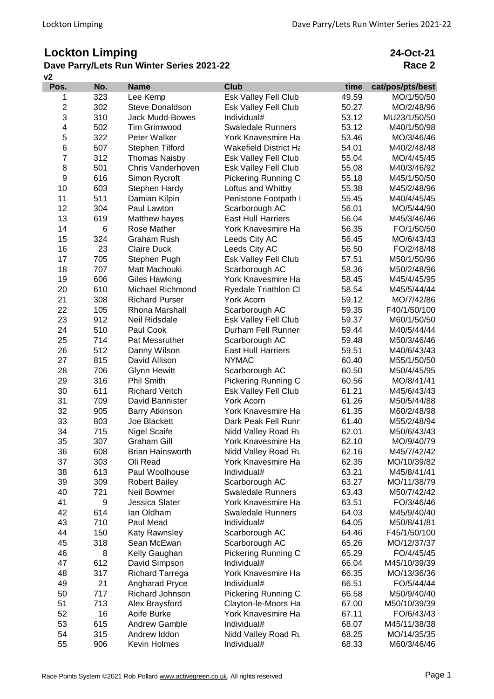## **Lockton Limping**

## **v2 Dave Parry/Lets Run Winter Series 2021-22**

**24-Oct-21 Race 2**

| Pos.                    | No. | <b>Name</b>             | <b>Club</b>                  | time  | cat/pos/pts/best |
|-------------------------|-----|-------------------------|------------------------------|-------|------------------|
| 1                       | 323 | Lee Kemp                | Esk Valley Fell Club         | 49.59 | MO/1/50/50       |
| $\overline{\mathbf{c}}$ | 302 | <b>Steve Donaldson</b>  | Esk Valley Fell Club         | 50.27 | MO/2/48/96       |
| 3                       | 310 | <b>Jack Mudd-Bowes</b>  | Individual#                  | 53.12 | MU23/1/50/50     |
| 4                       | 502 | Tim Grimwood            | <b>Swaledale Runners</b>     | 53.12 | M40/1/50/98      |
| 5                       | 322 | Peter Walker            | York Knavesmire Ha           | 53.46 | MO/3/46/46       |
| 6                       | 507 | Stephen Tilford         | <b>Wakefield District Ha</b> | 54.01 | M40/2/48/48      |
| $\overline{7}$          | 312 | <b>Thomas Naisby</b>    | Esk Valley Fell Club         | 55.04 | MO/4/45/45       |
| 8                       | 501 | Chris Vanderhoven       | Esk Valley Fell Club         | 55.08 | M40/3/46/92      |
| 9                       | 616 | Simon Rycroft           | Pickering Running C          | 55.18 | M45/1/50/50      |
| 10                      | 603 | Stephen Hardy           | Loftus and Whitby            | 55.38 | M45/2/48/96      |
| 11                      | 511 | Damian Kilpin           | Penistone Footpath I         | 55.45 | M40/4/45/45      |
| 12                      | 304 | Paul Lawton             | Scarborough AC               | 56.01 | MO/5/44/90       |
| 13                      | 619 | Matthew hayes           | <b>East Hull Harriers</b>    | 56.04 | M45/3/46/46      |
| 14                      | 6   | Rose Mather             | York Knavesmire Ha           | 56.35 | FO/1/50/50       |
| 15                      | 324 | Graham Rush             | Leeds City AC                | 56.45 | MO/6/43/43       |
| 16                      | 23  | <b>Claire Duck</b>      | Leeds City AC                | 56.50 | FO/2/48/48       |
| 17                      | 705 | Stephen Pugh            | Esk Valley Fell Club         | 57.51 | M50/1/50/96      |
| 18                      | 707 | Matt Machouki           | Scarborough AC               | 58.36 | M50/2/48/96      |
| 19                      | 606 | <b>Giles Hawking</b>    | York Knavesmire Ha           | 58.45 | M45/4/45/95      |
| 20                      | 610 | Michael Richmond        | Ryedale Triathlon Cl         | 58.54 | M45/5/44/44      |
| 21                      | 308 | <b>Richard Purser</b>   | <b>York Acorn</b>            | 59.12 | MO/7/42/86       |
| 22                      | 105 | Rhona Marshall          | Scarborough AC               | 59.35 | F40/1/50/100     |
| 23                      | 912 | Neil Ridsdale           | Esk Valley Fell Club         | 59.37 | M60/1/50/50      |
| 24                      | 510 | Paul Cook               | Durham Fell Runner:          | 59.44 | M40/5/44/44      |
| 25                      | 714 | Pat Messruther          | Scarborough AC               | 59.48 | M50/3/46/46      |
| 26                      | 512 | Danny Wilson            | <b>East Hull Harriers</b>    | 59.51 | M40/6/43/43      |
| 27                      | 815 | David Allison           | <b>NYMAC</b>                 | 60.40 | M55/1/50/50      |
| 28                      | 706 | <b>Glynn Hewitt</b>     | Scarborough AC               | 60.50 | M50/4/45/95      |
| 29                      | 316 | <b>Phil Smith</b>       | Pickering Running C          | 60.56 | MO/8/41/41       |
| 30                      | 611 | <b>Richard Veitch</b>   | Esk Valley Fell Club         | 61.21 | M45/6/43/43      |
| 31                      | 709 | David Bannister         | <b>York Acorn</b>            | 61.26 | M50/5/44/88      |
| 32                      | 905 | <b>Barry Atkinson</b>   | York Knavesmire Ha           | 61.35 | M60/2/48/98      |
| 33                      | 803 | Joe Blackett            | Dark Peak Fell Runn          | 61.40 | M55/2/48/94      |
| 34                      | 715 | <b>Nigel Scaife</b>     | Nidd Valley Road Ru          | 62.01 | M50/6/43/43      |
| 35                      | 307 | <b>Graham Gill</b>      | York Knavesmire Ha           | 62.10 | MO/9/40/79       |
| 36                      | 608 | <b>Brian Hainsworth</b> | Nidd Valley Road Ru          | 62.16 | M45/7/42/42      |
| 37                      | 303 | Oli Read                | York Knavesmire Ha           | 62.35 | MO/10/39/82      |
| 38                      | 613 | Paul Woolhouse          | Individual#                  | 63.21 | M45/8/41/41      |
| 39                      | 309 | <b>Robert Bailey</b>    | Scarborough AC               | 63.27 | MO/11/38/79      |
| 40                      | 721 | Neil Bowmer             | <b>Swaledale Runners</b>     | 63.43 | M50/7/42/42      |
| 41                      | 9   | Jessica Slater          | York Knavesmire Ha           | 63.51 | FO/3/46/46       |
| 42                      | 614 | lan Oldham              | <b>Swaledale Runners</b>     | 64.03 | M45/9/40/40      |
| 43                      | 710 | Paul Mead               | Individual#                  | 64.05 | M50/8/41/81      |
| 44                      | 150 | Katy Rawnsley           | Scarborough AC               | 64.46 | F45/1/50/100     |
| 45                      | 318 | Sean McEwan             | Scarborough AC               | 65.26 | MO/12/37/37      |
| 46                      | 8   | Kelly Gaughan           | Pickering Running C          | 65.29 | FO/4/45/45       |
| 47                      | 612 | David Simpson           | Individual#                  | 66.04 | M45/10/39/39     |
| 48                      | 317 | <b>Richard Tarrega</b>  | York Knavesmire Ha           | 66.35 | MO/13/36/36      |
| 49                      | 21  | Angharad Pryce          | Individual#                  | 66.51 | FO/5/44/44       |
| 50                      | 717 | Richard Johnson         | Pickering Running C          | 66.58 | M50/9/40/40      |
| 51                      | 713 | Alex Braysford          | Clayton-le-Moors Ha          | 67.00 | M50/10/39/39     |
| 52                      | 16  | Aoife Burke             | York Knavesmire Ha           | 67.11 | FO/6/43/43       |
| 53                      | 615 | <b>Andrew Gamble</b>    | Individual#                  | 68.07 | M45/11/38/38     |
| 54                      | 315 | Andrew Iddon            | Nidd Valley Road Ru          | 68.25 | MO/14/35/35      |
| 55                      | 906 | Kevin Holmes            | Individual#                  | 68.33 | M60/3/46/46      |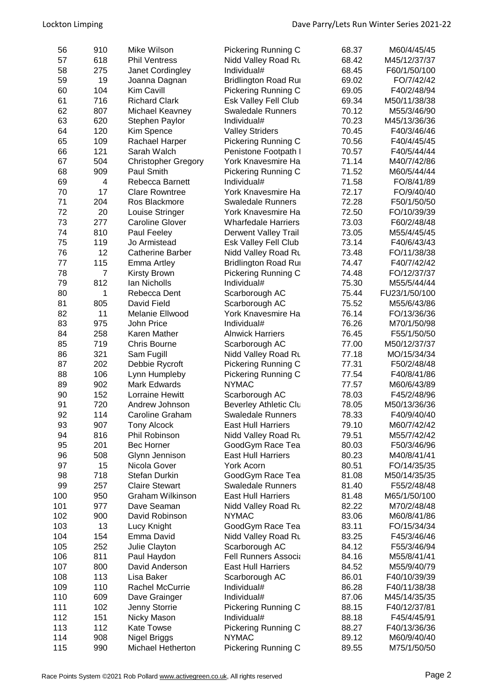| 56  | 910            | Mike Wilson                | Pickering Running C         | 68.37 | M60/4/45/45   |
|-----|----------------|----------------------------|-----------------------------|-------|---------------|
| 57  | 618            | <b>Phil Ventress</b>       | Nidd Valley Road Ru         | 68.42 | M45/12/37/37  |
| 58  | 275            | Janet Cordingley           | Individual#                 | 68.45 | F60/1/50/100  |
| 59  | 19             | Joanna Dagnan              | <b>Bridlington Road Rur</b> | 69.02 | FO/7/42/42    |
| 60  | 104            | Kim Cavill                 | Pickering Running C         | 69.05 | F40/2/48/94   |
| 61  | 716            | <b>Richard Clark</b>       | Esk Valley Fell Club        | 69.34 | M50/11/38/38  |
| 62  | 807            | Michael Keavney            | <b>Swaledale Runners</b>    | 70.12 | M55/3/46/90   |
| 63  | 620            | Stephen Paylor             | Individual#                 | 70.23 | M45/13/36/36  |
| 64  | 120            | Kim Spence                 | <b>Valley Striders</b>      | 70.45 | F40/3/46/46   |
| 65  | 109            | Rachael Harper             | Pickering Running C         | 70.56 | F40/4/45/45   |
| 66  | 121            | Sarah Walch                | Penistone Footpath I        | 70.57 | F40/5/44/44   |
| 67  | 504            | <b>Christopher Gregory</b> | York Knavesmire Ha          | 71.14 | M40/7/42/86   |
| 68  | 909            | Paul Smith                 |                             | 71.52 | M60/5/44/44   |
| 69  | 4              | Rebecca Barnett            | Pickering Running C         | 71.58 | FO/8/41/89    |
|     | 17             | <b>Clare Rowntree</b>      | Individual#                 | 72.17 |               |
| 70  |                |                            | York Knavesmire Ha          |       | FO/9/40/40    |
| 71  | 204            | Ros Blackmore              | <b>Swaledale Runners</b>    | 72.28 | F50/1/50/50   |
| 72  | 20             | Louise Stringer            | York Knavesmire Ha          | 72.50 | FO/10/39/39   |
| 73  | 277            | <b>Caroline Glover</b>     | <b>Wharfedale Harriers</b>  | 73.03 | F60/2/48/48   |
| 74  | 810            | Paul Feeley                | <b>Derwent Valley Trail</b> | 73.05 | M55/4/45/45   |
| 75  | 119            | Jo Armistead               | Esk Valley Fell Club        | 73.14 | F40/6/43/43   |
| 76  | 12             | <b>Catherine Barber</b>    | Nidd Valley Road Ru         | 73.48 | FO/11/38/38   |
| 77  | 115            | Emma Artley                | <b>Bridlington Road Rur</b> | 74.47 | F40/7/42/42   |
| 78  | $\overline{7}$ | <b>Kirsty Brown</b>        | Pickering Running C         | 74.48 | FO/12/37/37   |
| 79  | 812            | Ian Nicholls               | Individual#                 | 75.30 | M55/5/44/44   |
| 80  | 1              | Rebecca Dent               | Scarborough AC              | 75.44 | FU23/1/50/100 |
| 81  | 805            | David Field                | Scarborough AC              | 75.52 | M55/6/43/86   |
| 82  | 11             | Melanie Ellwood            | York Knavesmire Ha          | 76.14 | FO/13/36/36   |
| 83  | 975            | John Price                 | Individual#                 | 76.26 | M70/1/50/98   |
| 84  | 258            | Karen Mather               | <b>Alnwick Harriers</b>     | 76.45 | F55/1/50/50   |
| 85  | 719            | <b>Chris Bourne</b>        | Scarborough AC              | 77.00 | M50/12/37/37  |
| 86  | 321            | Sam Fugill                 | Nidd Valley Road Ru         | 77.18 | MO/15/34/34   |
| 87  | 202            | Debbie Rycroft             | <b>Pickering Running C</b>  | 77.31 | F50/2/48/48   |
| 88  | 106            | Lynn Humpleby              | Pickering Running C         | 77.54 | F40/8/41/86   |
| 89  | 902            | Mark Edwards               | <b>NYMAC</b>                | 77.57 | M60/6/43/89   |
| 90  | 152            | <b>Lorraine Hewitt</b>     | Scarborough AC              | 78.03 | F45/2/48/96   |
| 91  | 720            | Andrew Johnson             | Beverley Athletic Clu       | 78.05 | M50/13/36/36  |
| 92  | 114            | Caroline Graham            | <b>Swaledale Runners</b>    | 78.33 | F40/9/40/40   |
| 93  | 907            | <b>Tony Alcock</b>         | <b>East Hull Harriers</b>   | 79.10 | M60/7/42/42   |
| 94  | 816            | Phil Robinson              | Nidd Valley Road Ru         | 79.51 | M55/7/42/42   |
| 95  | 201            | <b>Bec Horner</b>          | GoodGym Race Tea            | 80.03 | F50/3/46/96   |
| 96  | 508            | Glynn Jennison             | <b>East Hull Harriers</b>   | 80.23 | M40/8/41/41   |
| 97  | 15             | Nicola Gover               | York Acorn                  | 80.51 | FO/14/35/35   |
| 98  | 718            | Stefan Durkin              | GoodGym Race Tea            | 81.08 | M50/14/35/35  |
| 99  | 257            | <b>Claire Stewart</b>      | <b>Swaledale Runners</b>    | 81.40 | F55/2/48/48   |
| 100 | 950            | <b>Graham Wilkinson</b>    | <b>East Hull Harriers</b>   | 81.48 | M65/1/50/100  |
|     | 977            | Dave Seaman                |                             | 82.22 |               |
| 101 |                | David Robinson             | Nidd Valley Road Ru         |       | M70/2/48/48   |
| 102 | 900            |                            | <b>NYMAC</b>                | 83.06 | M60/8/41/86   |
| 103 | 13             | Lucy Knight                | GoodGym Race Tea            | 83.11 | FO/15/34/34   |
| 104 | 154            | Emma David                 | Nidd Valley Road Ru         | 83.25 | F45/3/46/46   |
| 105 | 252            | Julie Clayton              | Scarborough AC              | 84.12 | F55/3/46/94   |
| 106 | 811            | Paul Haydon                | Fell Runners Associa        | 84.16 | M55/8/41/41   |
| 107 | 800            | David Anderson             | <b>East Hull Harriers</b>   | 84.52 | M55/9/40/79   |
| 108 | 113            | Lisa Baker                 | Scarborough AC              | 86.01 | F40/10/39/39  |
| 109 | 110            | <b>Rachel McCurrie</b>     | Individual#                 | 86.28 | F40/11/38/38  |
| 110 | 609            | Dave Grainger              | Individual#                 | 87.06 | M45/14/35/35  |
| 111 | 102            | Jenny Storrie              | <b>Pickering Running C</b>  | 88.15 | F40/12/37/81  |
| 112 | 151            | Nicky Mason                | Individual#                 | 88.18 | F45/4/45/91   |
| 113 | 112            | <b>Kate Towse</b>          | <b>Pickering Running C</b>  | 88.27 | F40/13/36/36  |
| 114 | 908            | Nigel Briggs               | <b>NYMAC</b>                | 89.12 | M60/9/40/40   |
| 115 | 990            | Michael Hetherton          | Pickering Running C         | 89.55 | M75/1/50/50   |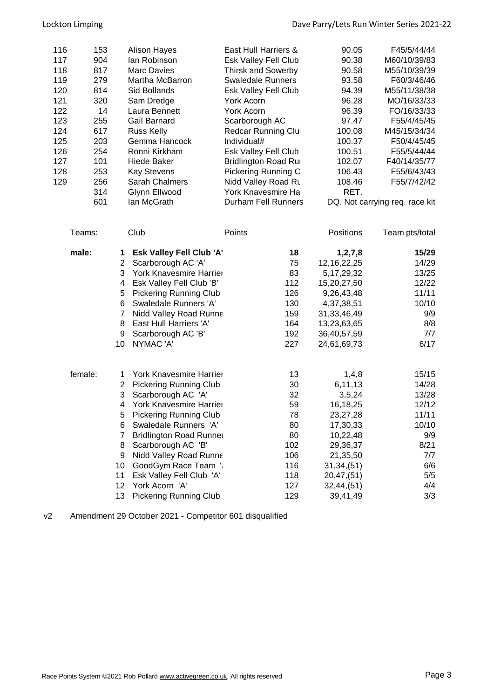| 116<br>117<br>118<br>119<br>120<br>121<br>122<br>123<br>124 | 153<br>904<br>817<br>279<br>814<br>320<br>14<br>255<br>617 |                | <b>Alison Hayes</b><br>lan Robinson<br><b>Marc Davies</b><br>Martha McBarron<br>Sid Bollands<br>Sam Dredge<br>Laura Bennett<br>Gail Barnard<br><b>Russ Kelly</b> | East Hull Harriers &<br>Esk Valley Fell Club<br><b>Thirsk and Sowerby</b><br><b>Swaledale Runners</b><br>Esk Valley Fell Club<br>York Acorn<br>York Acorn<br>Scarborough AC<br>Redcar Running Clul | 90.05<br>90.38<br>90.58<br>93.58<br>94.39<br>96.28<br>96.39<br>97.47<br>100.08 | F45/5/44/44<br>M60/10/39/83<br>M55/10/39/39<br>F60/3/46/46<br>M55/11/38/38<br>MO/16/33/33<br>FO/16/33/33<br>F55/4/45/45<br>M45/15/34/34 |
|-------------------------------------------------------------|------------------------------------------------------------|----------------|------------------------------------------------------------------------------------------------------------------------------------------------------------------|----------------------------------------------------------------------------------------------------------------------------------------------------------------------------------------------------|--------------------------------------------------------------------------------|-----------------------------------------------------------------------------------------------------------------------------------------|
| 125                                                         | 203                                                        |                | Gemma Hancock                                                                                                                                                    | Individual#                                                                                                                                                                                        | 100.37                                                                         | F50/4/45/45                                                                                                                             |
| 126                                                         | 254                                                        |                | Ronni Kirkham                                                                                                                                                    | Esk Valley Fell Club                                                                                                                                                                               | 100.51                                                                         | F55/5/44/44                                                                                                                             |
| 127                                                         | 101                                                        |                | Hiede Baker                                                                                                                                                      | <b>Bridlington Road Rur</b>                                                                                                                                                                        | 102.07                                                                         | F40/14/35/77                                                                                                                            |
| 128                                                         | 253                                                        |                | <b>Kay Stevens</b>                                                                                                                                               | Pickering Running C                                                                                                                                                                                | 106.43                                                                         | F55/6/43/43                                                                                                                             |
| 129                                                         | 256                                                        |                | <b>Sarah Chalmers</b>                                                                                                                                            | Nidd Valley Road Ru                                                                                                                                                                                | 108.46                                                                         | F55/7/42/42                                                                                                                             |
|                                                             | 314                                                        |                | Glynn Ellwood                                                                                                                                                    | York Knavesmire Ha                                                                                                                                                                                 | RET.                                                                           |                                                                                                                                         |
|                                                             | 601                                                        |                | lan McGrath                                                                                                                                                      | <b>Durham Fell Runners</b>                                                                                                                                                                         |                                                                                | DQ. Not carrying req. race kit                                                                                                          |
|                                                             | Teams:                                                     |                | Club                                                                                                                                                             | Points                                                                                                                                                                                             | Positions                                                                      | Team pts/total                                                                                                                          |
|                                                             | male:                                                      | 1              | <b>Esk Valley Fell Club 'A'</b>                                                                                                                                  | 18                                                                                                                                                                                                 | 1, 2, 7, 8                                                                     | 15/29                                                                                                                                   |
|                                                             |                                                            | $\overline{2}$ | Scarborough AC 'A'                                                                                                                                               | 75                                                                                                                                                                                                 | 12, 16, 22, 25                                                                 | 14/29                                                                                                                                   |
|                                                             |                                                            | 3              | York Knavesmire Harrier                                                                                                                                          | 83                                                                                                                                                                                                 | 5, 17, 29, 32                                                                  | 13/25                                                                                                                                   |
|                                                             |                                                            | 4              | Esk Valley Fell Club 'B'                                                                                                                                         | 112                                                                                                                                                                                                | 15,20,27,50                                                                    | 12/22                                                                                                                                   |
|                                                             |                                                            | 5              | <b>Pickering Running Club</b>                                                                                                                                    | 126                                                                                                                                                                                                | 9,26,43,48                                                                     | 11/11                                                                                                                                   |
|                                                             |                                                            | 6              | Swaledale Runners 'A'                                                                                                                                            | 130                                                                                                                                                                                                | 4,37,38,51                                                                     | 10/10                                                                                                                                   |
|                                                             |                                                            | 7              | Nidd Valley Road Runne                                                                                                                                           | 159                                                                                                                                                                                                | 31, 33, 46, 49                                                                 | 9/9                                                                                                                                     |
|                                                             |                                                            | 8              | East Hull Harriers 'A'                                                                                                                                           | 164                                                                                                                                                                                                | 13,23,63,65                                                                    | 8/8                                                                                                                                     |
|                                                             |                                                            | 9              | Scarborough AC 'B'                                                                                                                                               | 192                                                                                                                                                                                                | 36,40,57,59                                                                    | 7/7                                                                                                                                     |
|                                                             |                                                            | 10             | NYMAC 'A'                                                                                                                                                        | 227                                                                                                                                                                                                | 24,61,69,73                                                                    | 6/17                                                                                                                                    |
| female:                                                     |                                                            | 1              | York Knavesmire Harrier                                                                                                                                          | 13                                                                                                                                                                                                 | 1,4,8                                                                          | 15/15                                                                                                                                   |
|                                                             |                                                            | 2              | <b>Pickering Running Club</b>                                                                                                                                    | 30                                                                                                                                                                                                 | 6,11,13                                                                        | 14/28                                                                                                                                   |
|                                                             |                                                            | 3              | Scarborough AC 'A'                                                                                                                                               | 32                                                                                                                                                                                                 | 3,5,24                                                                         | 13/28                                                                                                                                   |
|                                                             |                                                            | 4              | York Knavesmire Harrier                                                                                                                                          | 59                                                                                                                                                                                                 | 16,18,25                                                                       | 12/12                                                                                                                                   |
|                                                             |                                                            | 5              | <b>Pickering Running Club</b>                                                                                                                                    | 78                                                                                                                                                                                                 | 23,27,28                                                                       | 11/11                                                                                                                                   |
|                                                             |                                                            | 6              | Swaledale Runners 'A'                                                                                                                                            | 80                                                                                                                                                                                                 | 17,30,33                                                                       | 10/10                                                                                                                                   |
|                                                             |                                                            | 7              | <b>Bridlington Road Runnel</b>                                                                                                                                   | 80                                                                                                                                                                                                 | 10,22,48                                                                       | 9/9                                                                                                                                     |
|                                                             |                                                            | 8              | Scarborough AC 'B'                                                                                                                                               | 102                                                                                                                                                                                                | 29,36,37                                                                       | 8/21                                                                                                                                    |
|                                                             |                                                            | 9              | Nidd Valley Road Runne                                                                                                                                           | 106                                                                                                                                                                                                | 21,35,50                                                                       | 7/7                                                                                                                                     |
|                                                             |                                                            | 10             | GoodGym Race Team '.                                                                                                                                             | 116                                                                                                                                                                                                | 31,34,(51)                                                                     | 6/6                                                                                                                                     |
|                                                             |                                                            | 11             | Esk Valley Fell Club 'A'                                                                                                                                         | 118                                                                                                                                                                                                | 20,47,(51)                                                                     | 5/5                                                                                                                                     |
|                                                             |                                                            | 12             | York Acorn 'A'                                                                                                                                                   | 127                                                                                                                                                                                                | 32,44,(51)                                                                     | 4/4                                                                                                                                     |
|                                                             |                                                            | 13             | <b>Pickering Running Club</b>                                                                                                                                    | 129                                                                                                                                                                                                | 39,41,49                                                                       | 3/3                                                                                                                                     |

v2 Amendment 29 October 2021 - Competitor 601 disqualified